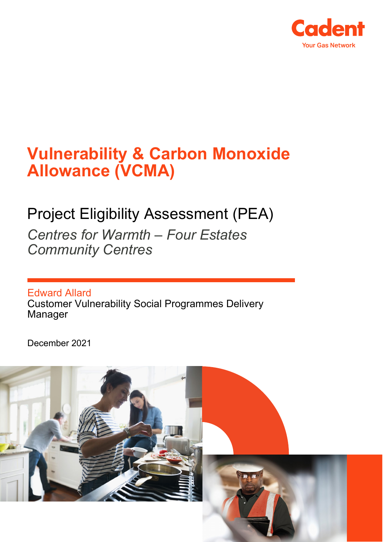

# **Vulnerability & Carbon Monoxide Allowance (VCMA)**

# Project Eligibility Assessment (PEA)

*Centres for Warmth – Four Estates Community Centres* 

Edward Allard Customer Vulnerability Social Programmes Delivery Manager

December 2021

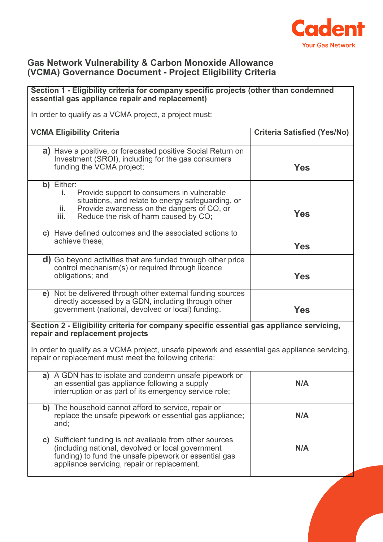

### **Gas Network Vulnerability & Carbon Monoxide Allowance (VCMA) Governance Document - Project Eligibility Criteria**

# **Section 1 - Eligibility criteria for company specific projects (other than condemned essential gas appliance repair and replacement)** In order to qualify as a VCMA project, a project must: **VCMA Eligibility Criteria Criteria Satisfied (Yes/No) a)** Have a positive, or forecasted positive Social Return on Investment (SROI), including for the gas consumers funding the VCMA project; **Yes b)** Either: **i.** Provide support to consumers in vulnerable situations, and relate to energy safeguarding, or **ii.** Provide awareness on the dangers of CO, or<br>**iii.** Reduce the risk of harm caused by CO. **i** is viewed awarehess on the darigers of  $\infty$ ; or  $\cdot$  **Yes Yes c)** Have defined outcomes and the associated actions to achieve these; **Yes d)** Go beyond activities that are funded through other price control mechanism(s) or required through licence obligations; and **Yes e)** Not be delivered through other external funding sources directly accessed by a GDN, including through other government (national, devolved or local) funding. **Yes Section 2 - Eligibility criteria for company specific essential gas appliance servicing, repair and replacement projects** In order to qualify as a VCMA project, unsafe pipework and essential gas appliance servicing, repair or replacement must meet the following criteria: **a)** A GDN has to isolate and condemn unsafe pipework or an essential gas appliance following a supply interruption or as part of its emergency service role; **N/A b)** The household cannot afford to service, repair or replace the unsafe pipework or essential gas appliance; and; **N/A c)** Sufficient funding is not available from other sources (including national, devolved or local government funding) to fund the unsafe pipework or essential gas appliance servicing, repair or replacement. **N/A**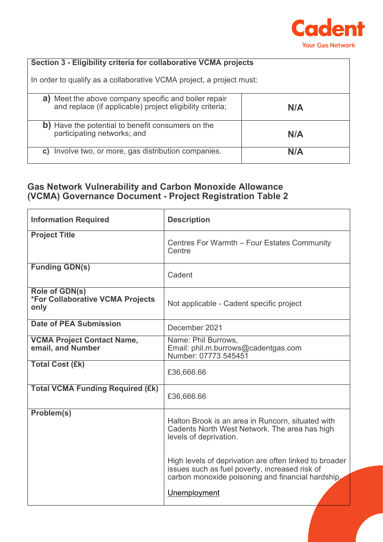

### **Section 3 - Eligibility criteria for collaborative VCMA projects**

In order to qualify as a collaborative VCMA project, a project must:

| a) Meet the above company specific and boiler repair<br>and replace (if applicable) project eligibility criteria; | N/A |
|-------------------------------------------------------------------------------------------------------------------|-----|
| b) Have the potential to benefit consumers on the<br>participating networks; and                                  | N/A |
| Involve two, or more, gas distribution companies.<br>C)                                                           | N/A |

## **Gas Network Vulnerability and Carbon Monoxide Allowance (VCMA) Governance Document - Project Registration Table 2**

| <b>Information Required</b>                                | <b>Description</b>                                                                                                                                                            |
|------------------------------------------------------------|-------------------------------------------------------------------------------------------------------------------------------------------------------------------------------|
| <b>Project Title</b>                                       | Centres For Warmth - Four Estates Community<br>Centre                                                                                                                         |
| <b>Funding GDN(s)</b>                                      | Cadent                                                                                                                                                                        |
| Role of GDN(s)<br>*For Collaborative VCMA Projects<br>only | Not applicable - Cadent specific project                                                                                                                                      |
| <b>Date of PEA Submission</b>                              | December 2021                                                                                                                                                                 |
| <b>VCMA Project Contact Name,</b><br>email, and Number     | Name: Phil Burrows,<br>Email: phil.m.burrows@cadentgas.com<br>Number: 07773 545451                                                                                            |
| <b>Total Cost (£k)</b>                                     | £36,666.66                                                                                                                                                                    |
| <b>Total VCMA Funding Required (£k)</b>                    | £36,666.66                                                                                                                                                                    |
| Problem(s)                                                 | Halton Brook is an area in Runcorn, situated with<br>Cadents North West Network. The area has high<br>levels of deprivation.                                                  |
|                                                            | High levels of deprivation are often linked to broader<br>issues such as fuel poverty, increased risk of<br>carbon monoxide poisoning and financial hardship,<br>Unemployment |
|                                                            |                                                                                                                                                                               |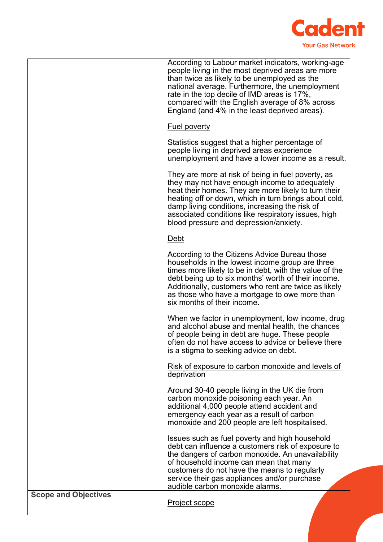

|                             | According to Labour market indicators, working-age<br>people living in the most deprived areas are more<br>than twice as likely to be unemployed as the<br>national average. Furthermore, the unemployment<br>rate in the top decile of IMD areas is 17%,<br>compared with the English average of 8% across<br>England (and 4% in the least deprived areas).            |
|-----------------------------|-------------------------------------------------------------------------------------------------------------------------------------------------------------------------------------------------------------------------------------------------------------------------------------------------------------------------------------------------------------------------|
|                             | <b>Fuel poverty</b>                                                                                                                                                                                                                                                                                                                                                     |
|                             | Statistics suggest that a higher percentage of<br>people living in deprived areas experience<br>unemployment and have a lower income as a result.                                                                                                                                                                                                                       |
|                             | They are more at risk of being in fuel poverty, as<br>they may not have enough income to adequately<br>heat their homes. They are more likely to turn their<br>heating off or down, which in turn brings about cold,<br>damp living conditions, increasing the risk of<br>associated conditions like respiratory issues, high<br>blood pressure and depression/anxiety. |
|                             | <u>Debt</u>                                                                                                                                                                                                                                                                                                                                                             |
|                             | According to the Citizens Advice Bureau those<br>households in the lowest income group are three<br>times more likely to be in debt, with the value of the<br>debt being up to six months' worth of their income.<br>Additionally, customers who rent are twice as likely<br>as those who have a mortgage to owe more than<br>six months of their income.               |
|                             | When we factor in unemployment, low income, drug<br>and alcohol abuse and mental health, the chances<br>of people being in debt are huge. These people<br>often do not have access to advice or believe there<br>is a stigma to seeking advice on debt.                                                                                                                 |
|                             | Risk of exposure to carbon monoxide and levels of<br>deprivation                                                                                                                                                                                                                                                                                                        |
|                             | Around 30-40 people living in the UK die from<br>carbon monoxide poisoning each year. An<br>additional 4,000 people attend accident and<br>emergency each year as a result of carbon<br>monoxide and 200 people are left hospitalised.                                                                                                                                  |
|                             | Issues such as fuel poverty and high household<br>debt can influence a customers risk of exposure to<br>the dangers of carbon monoxide. An unavailability<br>of household income can mean that many<br>customers do not have the means to regularly<br>service their gas appliances and/or purchase<br>audible carbon monoxide alarms.                                  |
| <b>Scope and Objectives</b> | <b>Project scope</b>                                                                                                                                                                                                                                                                                                                                                    |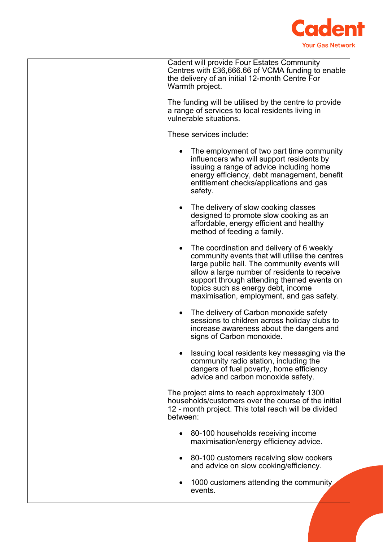

| <b>Cadent will provide Four Estates Community</b><br>Centres with £36,666.66 of VCMA funding to enable<br>the delivery of an initial 12-month Centre For<br>Warmth project.                                                                                                                                                  |
|------------------------------------------------------------------------------------------------------------------------------------------------------------------------------------------------------------------------------------------------------------------------------------------------------------------------------|
| The funding will be utilised by the centre to provide<br>a range of services to local residents living in<br>vulnerable situations.                                                                                                                                                                                          |
| These services include:                                                                                                                                                                                                                                                                                                      |
| The employment of two part time community<br>influencers who will support residents by<br>issuing a range of advice including home<br>energy efficiency, debt management, benefit<br>entitlement checks/applications and gas<br>safety.                                                                                      |
| The delivery of slow cooking classes<br>designed to promote slow cooking as an<br>affordable, energy efficient and healthy<br>method of feeding a family.                                                                                                                                                                    |
| The coordination and delivery of 6 weekly<br>community events that will utilise the centres<br>large public hall. The community events will<br>allow a large number of residents to receive<br>support through attending themed events on<br>topics such as energy debt, income<br>maximisation, employment, and gas safety. |
| The delivery of Carbon monoxide safety<br>sessions to children across holiday clubs to<br>increase awareness about the dangers and<br>signs of Carbon monoxide.                                                                                                                                                              |
| Issuing local residents key messaging via the<br>community radio station, including the<br>dangers of fuel poverty, home efficiency<br>advice and carbon monoxide safety.                                                                                                                                                    |
| The project aims to reach approximately 1300<br>households/customers over the course of the initial<br>12 - month project. This total reach will be divided<br>between:                                                                                                                                                      |
| 80-100 households receiving income<br>maximisation/energy efficiency advice.                                                                                                                                                                                                                                                 |
| 80-100 customers receiving slow cookers<br>and advice on slow cooking/efficiency.                                                                                                                                                                                                                                            |
| 1000 customers attending the community<br>events.                                                                                                                                                                                                                                                                            |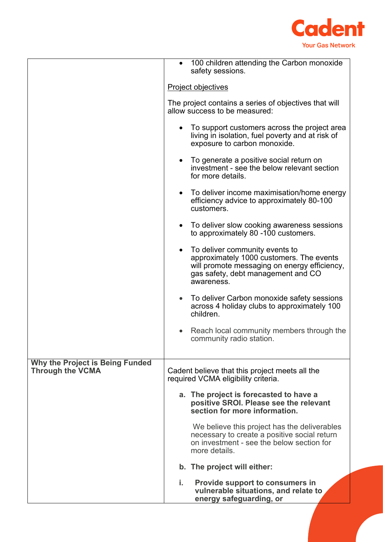

|                                 | 100 children attending the Carbon monoxide<br>safety sessions.                                                                                                                   |
|---------------------------------|----------------------------------------------------------------------------------------------------------------------------------------------------------------------------------|
|                                 | <b>Project objectives</b>                                                                                                                                                        |
|                                 | The project contains a series of objectives that will<br>allow success to be measured:                                                                                           |
|                                 | To support customers across the project area<br>$\bullet$<br>living in isolation, fuel poverty and at risk of<br>exposure to carbon monoxide.                                    |
|                                 | • To generate a positive social return on<br>investment - see the below relevant section<br>for more details.                                                                    |
|                                 | • To deliver income maximisation/home energy<br>efficiency advice to approximately 80-100<br>customers.                                                                          |
|                                 | To deliver slow cooking awareness sessions<br>to approximately 80 -100 customers.                                                                                                |
|                                 | • To deliver community events to<br>approximately 1000 customers. The events<br>will promote messaging on energy efficiency,<br>gas safety, debt management and CO<br>awareness. |
|                                 | To deliver Carbon monoxide safety sessions<br>$\bullet$<br>across 4 holiday clubs to approximately 100<br>children.                                                              |
|                                 | Reach local community members through the<br>community radio station.                                                                                                            |
| Why the Project is Being Funded |                                                                                                                                                                                  |
| <b>Through the VCMA</b>         | Cadent believe that this project meets all the<br>required VCMA eligibility criteria.                                                                                            |
|                                 | a. The project is forecasted to have a<br>positive SROI. Please see the relevant<br>section for more information.                                                                |
|                                 | We believe this project has the deliverables<br>necessary to create a positive social return<br>on investment - see the below section for<br>more details.                       |
|                                 | b. The project will either:                                                                                                                                                      |
|                                 | i.<br><b>Provide support to consumers in</b><br>vulnerable situations, and relate to<br>energy safeguarding, or                                                                  |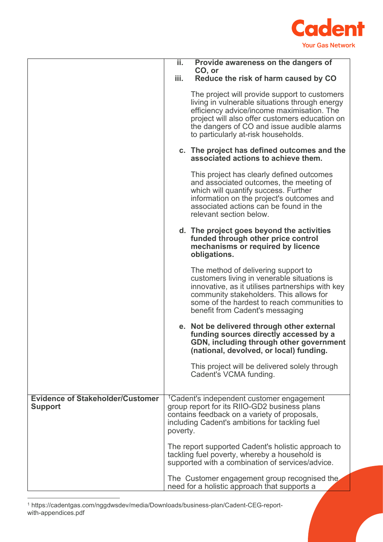

|                                                           | ii.      | Provide awareness on the dangers of                                                                                                                                                                                                                                                  |
|-----------------------------------------------------------|----------|--------------------------------------------------------------------------------------------------------------------------------------------------------------------------------------------------------------------------------------------------------------------------------------|
|                                                           |          | CO, or                                                                                                                                                                                                                                                                               |
|                                                           | iii.     | Reduce the risk of harm caused by CO                                                                                                                                                                                                                                                 |
|                                                           |          | The project will provide support to customers<br>living in vulnerable situations through energy<br>efficiency advice/income maximisation. The<br>project will also offer customers education on<br>the dangers of CO and issue audible alarms<br>to particularly at-risk households. |
|                                                           |          | c. The project has defined outcomes and the<br>associated actions to achieve them.                                                                                                                                                                                                   |
|                                                           |          | This project has clearly defined outcomes<br>and associated outcomes, the meeting of<br>which will quantify success. Further<br>information on the project's outcomes and<br>associated actions can be found in the<br>relevant section below.                                       |
|                                                           |          | d. The project goes beyond the activities<br>funded through other price control<br>mechanisms or required by licence<br>obligations.                                                                                                                                                 |
|                                                           |          | The method of delivering support to<br>customers living in venerable situations is<br>innovative, as it utilises partnerships with key<br>community stakeholders. This allows for<br>some of the hardest to reach communities to<br>benefit from Cadent's messaging                  |
|                                                           |          | e. Not be delivered through other external<br>funding sources directly accessed by a<br>GDN, including through other government<br>(national, devolved, or local) funding.                                                                                                           |
|                                                           |          | This project will be delivered solely through<br>Cadent's VCMA funding.                                                                                                                                                                                                              |
| <b>Evidence of Stakeholder/Customer</b><br><b>Support</b> | poverty. | <sup>1</sup> Cadent's independent customer engagement<br>group report for its RIIO-GD2 business plans<br>contains feedback on a variety of proposals,<br>including Cadent's ambitions for tackling fuel                                                                              |
|                                                           |          | The report supported Cadent's holistic approach to<br>tackling fuel poverty, whereby a household is<br>supported with a combination of services/advice.                                                                                                                              |
|                                                           |          | The Customer engagement group recognised the<br>need for a holistic approach that supports a                                                                                                                                                                                         |

<span id="page-6-0"></span><sup>1</sup> https://cadentgas.com/nggdwsdev/media/Downloads/business-plan/Cadent-CEG-reportwith-appendices.pdf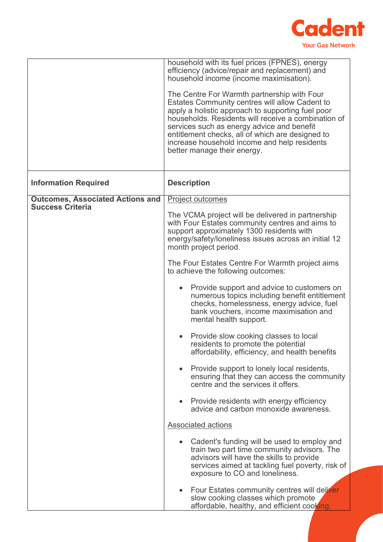

|                                                                    | household with its fuel prices (FPNES), energy<br>efficiency (advice/repair and replacement) and<br>household income (income maximisation).<br>The Centre For Warmth partnership with Four<br>Estates Community centres will allow Cadent to<br>apply a holistic approach to supporting fuel poor<br>households. Residents will receive a combination of<br>services such as energy advice and benefit<br>entitlement checks, all of which are designed to<br>increase household income and help residents<br>better manage their energy. |
|--------------------------------------------------------------------|-------------------------------------------------------------------------------------------------------------------------------------------------------------------------------------------------------------------------------------------------------------------------------------------------------------------------------------------------------------------------------------------------------------------------------------------------------------------------------------------------------------------------------------------|
| <b>Information Required</b>                                        | <b>Description</b>                                                                                                                                                                                                                                                                                                                                                                                                                                                                                                                        |
| <b>Outcomes, Associated Actions and</b><br><b>Success Criteria</b> | Project outcomes                                                                                                                                                                                                                                                                                                                                                                                                                                                                                                                          |
|                                                                    | The VCMA project will be delivered in partnership<br>with Four Estates community centres and aims to<br>support approximately 1300 residents with<br>energy/safety/loneliness issues across an initial 12<br>month project period.                                                                                                                                                                                                                                                                                                        |
|                                                                    | The Four Estates Centre For Warmth project aims<br>to achieve the following outcomes:                                                                                                                                                                                                                                                                                                                                                                                                                                                     |
|                                                                    | Provide support and advice to customers on<br>$\bullet$<br>numerous topics including benefit entitlement<br>checks, homelessness, energy advice, fuel<br>bank vouchers, income maximisation and<br>mental health support.                                                                                                                                                                                                                                                                                                                 |
|                                                                    | Provide slow cooking classes to local<br>residents to promote the potential<br>affordability, efficiency, and health benefits                                                                                                                                                                                                                                                                                                                                                                                                             |
|                                                                    | Provide support to lonely local residents,<br>$\bullet$<br>ensuring that they can access the community<br>centre and the services it offers.                                                                                                                                                                                                                                                                                                                                                                                              |
|                                                                    | • Provide residents with energy efficiency<br>advice and carbon monoxide awareness.                                                                                                                                                                                                                                                                                                                                                                                                                                                       |
|                                                                    | <b>Associated actions</b>                                                                                                                                                                                                                                                                                                                                                                                                                                                                                                                 |
|                                                                    | • Cadent's funding will be used to employ and<br>train two part time community advisors. The<br>advisors will have the skills to provide<br>services aimed at tackling fuel poverty, risk of<br>exposure to CO and loneliness.                                                                                                                                                                                                                                                                                                            |
|                                                                    | Four Estates community centres will deliver<br>$\bullet$<br>slow cooking classes which promote<br>affordable, healthy, and efficient cooking.                                                                                                                                                                                                                                                                                                                                                                                             |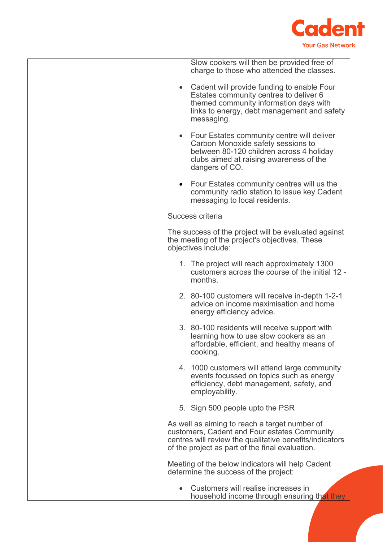

| Slow cookers will then be provided free of<br>charge to those who attended the classes.                                                                                                                     |
|-------------------------------------------------------------------------------------------------------------------------------------------------------------------------------------------------------------|
| • Cadent will provide funding to enable Four<br>Estates community centres to deliver 6<br>themed community information days with<br>links to energy, debt management and safety<br>messaging.               |
| • Four Estates community centre will deliver<br>Carbon Monoxide safety sessions to<br>between 80-120 children across 4 holiday<br>clubs aimed at raising awareness of the<br>dangers of CO.                 |
| • Four Estates community centres will us the<br>community radio station to issue key Cadent<br>messaging to local residents.                                                                                |
| <b>Success criteria</b>                                                                                                                                                                                     |
| The success of the project will be evaluated against<br>the meeting of the project's objectives. These<br>objectives include:                                                                               |
| 1. The project will reach approximately 1300<br>customers across the course of the initial 12 -<br>months.                                                                                                  |
| 2. 80-100 customers will receive in-depth 1-2-1<br>advice on income maximisation and home<br>energy efficiency advice.                                                                                      |
| 3. 80-100 residents will receive support with<br>learning how to use slow cookers as an<br>affordable, efficient, and healthy means of<br>cooking.                                                          |
| 4. 1000 customers will attend large community<br>events focussed on topics such as energy<br>efficiency, debt management, safety, and<br>employability.                                                     |
| 5. Sign 500 people upto the PSR                                                                                                                                                                             |
| As well as aiming to reach a target number of<br>customers, Cadent and Four estates Community<br>centres will review the qualitative benefits/indicators<br>of the project as part of the final evaluation. |
| Meeting of the below indicators will help Cadent<br>determine the success of the project:                                                                                                                   |
| Customers will realise increases in<br>household income through ensuring that they                                                                                                                          |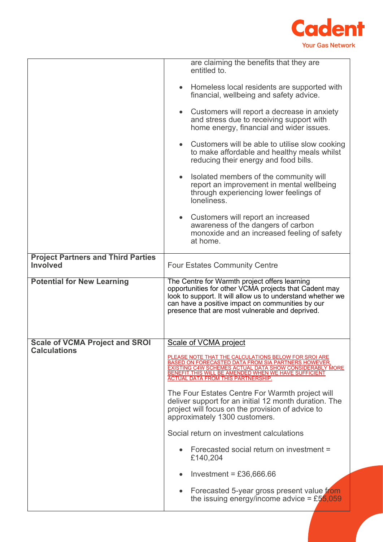

|                                                              | are claiming the benefits that they are<br>entitled to.                                                                                                                                                                                                                             |
|--------------------------------------------------------------|-------------------------------------------------------------------------------------------------------------------------------------------------------------------------------------------------------------------------------------------------------------------------------------|
|                                                              | Homeless local residents are supported with<br>$\bullet$<br>financial, wellbeing and safety advice.                                                                                                                                                                                 |
|                                                              | • Customers will report a decrease in anxiety<br>and stress due to receiving support with<br>home energy, financial and wider issues.                                                                                                                                               |
|                                                              | Customers will be able to utilise slow cooking<br>$\bullet$<br>to make affordable and healthy meals whilst<br>reducing their energy and food bills.                                                                                                                                 |
|                                                              | Isolated members of the community will<br>$\bullet$<br>report an improvement in mental wellbeing<br>through experiencing lower feelings of<br>loneliness.                                                                                                                           |
|                                                              | Customers will report an increased<br>$\bullet$<br>awareness of the dangers of carbon<br>monoxide and an increased feeling of safety<br>at home.                                                                                                                                    |
| <b>Project Partners and Third Parties</b><br><b>Involved</b> | <b>Four Estates Community Centre</b>                                                                                                                                                                                                                                                |
| <b>Potential for New Learning</b>                            | The Centre for Warmth project offers learning<br>opportunities for other VCMA projects that Cadent may<br>look to support. It will allow us to understand whether we<br>can have a positive impact on communities by our<br>presence that are most vulnerable and deprived.         |
| <b>Scale of VCMA Project and SROI</b>                        | Scale of VCMA project                                                                                                                                                                                                                                                               |
| <b>Calculations</b>                                          | PLEASE NOTE THAT THE CALCULATIONS BELOW FOR SROI ARE<br><b>BASED ON FORECASTED DATA FROM SIA PARTNERS HOWEVER,</b><br>EXISTING C4W SCHEMES ACTUAL DATA SHOW CONSIDERABLY MORE<br>BENEFIT. THIS WILL BE AMENDED WHEN WE HAVE SUFFICIENT<br><b>ACTUAL DATA FROM THIS PARTNERSHIP.</b> |
|                                                              | The Four Estates Centre For Warmth project will<br>deliver support for an initial 12 month duration. The<br>project will focus on the provision of advice to<br>approximately 1300 customers.                                                                                       |
|                                                              | Social return on investment calculations                                                                                                                                                                                                                                            |
|                                                              | Forecasted social return on investment =<br>£140,204                                                                                                                                                                                                                                |
|                                                              | Investment = $£36,666.66$                                                                                                                                                                                                                                                           |
|                                                              | Forecasted 5-year gross present value from<br>the issuing energy/income advice = £55,059                                                                                                                                                                                            |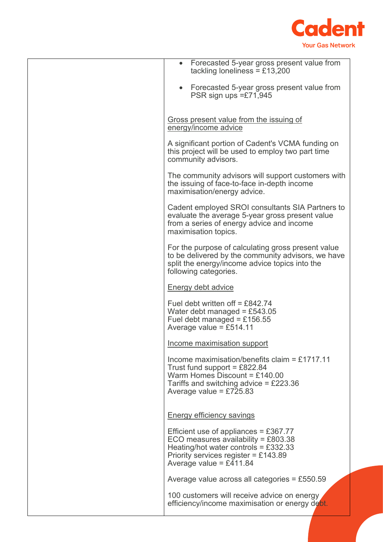

| • Forecasted 5-year gross present value from<br>tackling loneliness = £13,200                                                                                                             |
|-------------------------------------------------------------------------------------------------------------------------------------------------------------------------------------------|
| Forecasted 5-year gross present value from<br>PSR sign ups $=\pounds 71,945$                                                                                                              |
| Gross present value from the issuing of<br>energy/income advice                                                                                                                           |
| A significant portion of Cadent's VCMA funding on<br>this project will be used to employ two part time<br>community advisors.                                                             |
| The community advisors will support customers with<br>the issuing of face-to-face in-depth income<br>maximisation/energy advice.                                                          |
| Cadent employed SROI consultants SIA Partners to<br>evaluate the average 5-year gross present value<br>from a series of energy advice and income<br>maximisation topics.                  |
| For the purpose of calculating gross present value<br>to be delivered by the community advisors, we have<br>split the energy/income advice topics into the<br>following categories.       |
| <b>Energy debt advice</b>                                                                                                                                                                 |
| Fuel debt written off = £842.74<br>Water debt managed = £543.05<br>Fuel debt managed = £156.55<br>Average value = £514.11                                                                 |
| Income maximisation support                                                                                                                                                               |
| Income maximisation/benefits claim = £1717.11<br>Trust fund support = $£822.84$<br>Warm Homes Discount = $£140.00$<br>Tariffs and switching advice = £223.36<br>Average value = $£725.83$ |
| <b>Energy efficiency savings</b>                                                                                                                                                          |
| Efficient use of appliances = £367.77<br>ECO measures availability = £803.38<br>Heating/hot water controls = $£332.33$<br>Priority services register = £143.89<br>Average value = £411.84 |
| Average value across all categories = £550.59                                                                                                                                             |
| 100 customers will receive advice on energy<br>efficiency/income maximisation or energy debt.                                                                                             |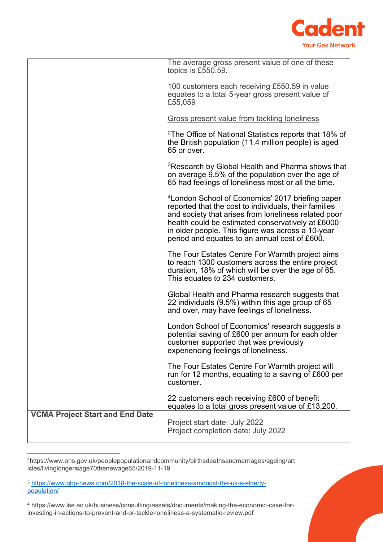

|                                        | The average gross present value of one of these<br>topics is £550.59.                                                                                                                                                                                                                                                                    |
|----------------------------------------|------------------------------------------------------------------------------------------------------------------------------------------------------------------------------------------------------------------------------------------------------------------------------------------------------------------------------------------|
|                                        | 100 customers each receiving £550.59 in value<br>equates to a total 5-year gross present value of<br>£55,059                                                                                                                                                                                                                             |
|                                        | <b>Gross present value from tackling loneliness</b>                                                                                                                                                                                                                                                                                      |
|                                        | <sup>2</sup> The Office of National Statistics reports that 18% of<br>the British population (11.4 million people) is aged<br>65 or over.                                                                                                                                                                                                |
|                                        | <sup>3</sup> Research by Global Health and Pharma shows that<br>on average 9.5% of the population over the age of<br>65 had feelings of loneliness most or all the time.                                                                                                                                                                 |
|                                        | <sup>4</sup> London School of Economics' 2017 briefing paper<br>reported that the cost to individuals, their families<br>and society that arises from loneliness related poor<br>health could be estimated conservatively at £6000<br>in older people. This figure was across a 10-year<br>period and equates to an annual cost of £600. |
|                                        | The Four Estates Centre For Warmth project aims<br>to reach 1300 customers across the entire project<br>duration, 18% of which will be over the age of 65.<br>This equates to 234 customers.                                                                                                                                             |
|                                        | Global Health and Pharma research suggests that<br>22 individuals (9.5%) within this age group of 65<br>and over, may have feelings of loneliness.                                                                                                                                                                                       |
|                                        | London School of Economics' research suggests a<br>potential saving of £600 per annum for each older<br>customer supported that was previously<br>experiencing feelings of loneliness.                                                                                                                                                   |
|                                        | The Four Estates Centre For Warmth project will<br>run for 12 months, equating to a saving of £600 per<br>customer.                                                                                                                                                                                                                      |
|                                        | 22 customers each receiving £600 of benefit<br>equates to a total gross present value of £13,200.                                                                                                                                                                                                                                        |
| <b>VCMA Project Start and End Date</b> | Project start date: July 2022<br>Project completion date: July 2022                                                                                                                                                                                                                                                                      |

<span id="page-11-0"></span><sup>2</sup>https://www.ons.gov.uk/peoplepopulationandcommunity/birthsdeathsandmarriages/ageing/art icles/livinglongerisage70thenewage65/2019-11-19

<span id="page-11-1"></span><sup>3</sup> [https://www.ghp-news.com/2018-the-scale-of-loneliness-amongst-the-uk-s-elderly](https://www.ghp-news.com/2018-the-scale-of-loneliness-amongst-the-uk-s-elderly-population/)[population/](https://www.ghp-news.com/2018-the-scale-of-loneliness-amongst-the-uk-s-elderly-population/)

<span id="page-11-2"></span><sup>4</sup> https://www.lse.ac.uk/business/consulting/assets/documents/making-the-economic-case-forinvesting-in-actions-to-prevent-and-or-tackle-loneliness-a-systematic-review.pdf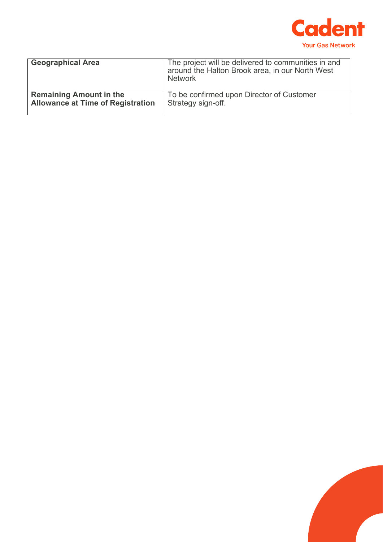

| <b>Geographical Area</b>                 | The project will be delivered to communities in and<br>around the Halton Brook area, in our North West<br>Network |
|------------------------------------------|-------------------------------------------------------------------------------------------------------------------|
| <b>Remaining Amount in the</b>           | To be confirmed upon Director of Customer                                                                         |
| <b>Allowance at Time of Registration</b> | Strategy sign-off.                                                                                                |